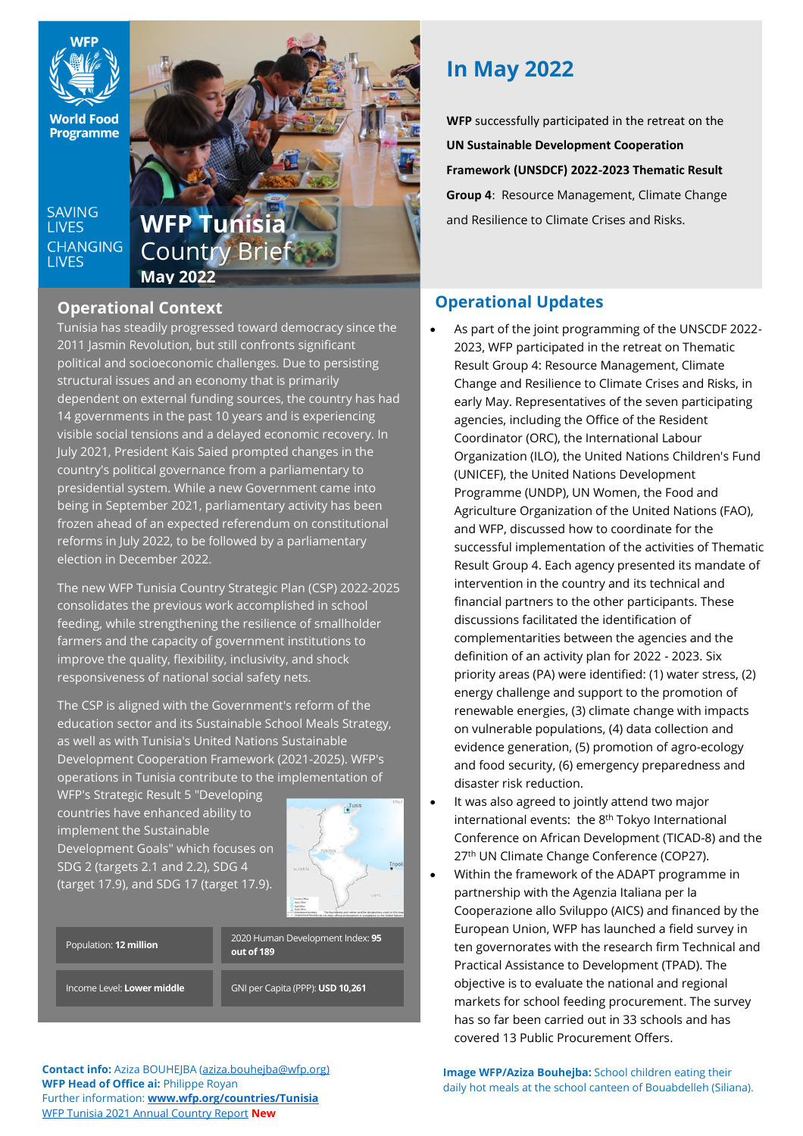

**World Food Programme** 

**SAVING LIVES CHANGING LIVES** 



# **Operational Context**

Tunisia has steadily progressed toward democracy since the 2011 Jasmin Revolution, but still confronts significant political and socioeconomic challenges. Due to persisting structural issues and an economy that is primarily dependent on external funding sources, the country has had 14 governments in the past 10 years and is experiencing visible social tensions and a delayed economic recovery. In July 2021, President Kais Saied prompted changes in the country's political governance from a parliamentary to presidential system. While a new Government came into being in September 2021, parliamentary activity has been frozen ahead of an expected referendum on constitutional reforms in July 2022, to be followed by a parliamentary election in December 2022.

The new WFP Tunisia Country Strategic Plan (CSP) 2022-2025 consolidates the previous work accomplished in school feeding, while strengthening the resilience of smallholder farmers and the capacity of government institutions to improve the quality, flexibility, inclusivity, and shock responsiveness of national social safety nets.

The CSP is aligned with the Government's reform of the education sector and its Sustainable School Meals Strategy, as well as with Tunisia's United Nations Sustainable Development Cooperation Framework (2021-2025). WFP's operations in Tunisia contribute to the implementation of

WFP's Strategic Result 5 "Developing countries have enhanced ability to implement the Sustainable Development Goals" which focuses on SDG 2 (targets 2.1 and 2.2), SDG 4 (target 17.9), and SDG 17 (target 17.9).



| Population: 12 million |  |
|------------------------|--|
|                        |  |

2020 Human Development Index: **95 out of 189**

Income Level: **Lower middle**

GNI per Capita (PPP): **USD 10,261**

**Contact info:** Aziza BOUHEJBA [\(aziza.bouhejba@wfp.org\)](mailto:aziza.bouhejba@wfp.org) **WFP Head of Office ai:** Philippe Royan Further information: **[www.wfp.org/countries/Tunisia](http://www.wfp.org/countries/Tunisia)** WFP Tunisia [2021 Annual Country Report](https://www.wfp.org/operations/annual-country-report?operation_id=TN01&year=2021#/23316) **New**

# **In May 2022**

**WFP** successfully participated in the retreat on the **UN Sustainable Development Cooperation Framework (UNSDCF) 2022-2023 Thematic Result Group 4**: Resource Management, Climate Change

# **Operational Updates**

- As part of the joint programming of the UNSCDF 2022- 2023, WFP participated in the retreat on Thematic Result Group 4: Resource Management, Climate Change and Resilience to Climate Crises and Risks, in early May. Representatives of the seven participating agencies, including the Office of the Resident Coordinator (ORC), the International Labour Organization (ILO), the United Nations Children's Fund (UNICEF), the United Nations Development Programme (UNDP), UN Women, the Food and Agriculture Organization of the United Nations (FAO), and WFP, discussed how to coordinate for the successful implementation of the activities of Thematic Result Group 4. Each agency presented its mandate of intervention in the country and its technical and financial partners to the other participants. These discussions facilitated the identification of complementarities between the agencies and the definition of an activity plan for 2022 - 2023. Six priority areas (PA) were identified: (1) water stress, (2) energy challenge and support to the promotion of renewable energies, (3) climate change with impacts on vulnerable populations, (4) data collection and evidence generation, (5) promotion of agro-ecology and food security, (6) emergency preparedness and disaster risk reduction.
- It was also agreed to jointly attend two major international events: the 8th Tokyo International Conference on African Development (TICAD-8) and the 27<sup>th</sup> UN Climate Change Conference (COP27).
- Within the framework of the ADAPT programme in partnership with the Agenzia Italiana per la Cooperazione allo Sviluppo (AICS) and financed by the European Union, WFP has launched a field survey in ten governorates with the research firm Technical and Practical Assistance to Development (TPAD). The objective is to evaluate the national and regional markets for school feeding procurement. The survey has so far been carried out in 33 schools and has covered 13 Public Procurement Offers.

**Image WFP/Aziza Bouhejba:** School children eating their daily hot meals at the school canteen of Bouabdelleh (Siliana).